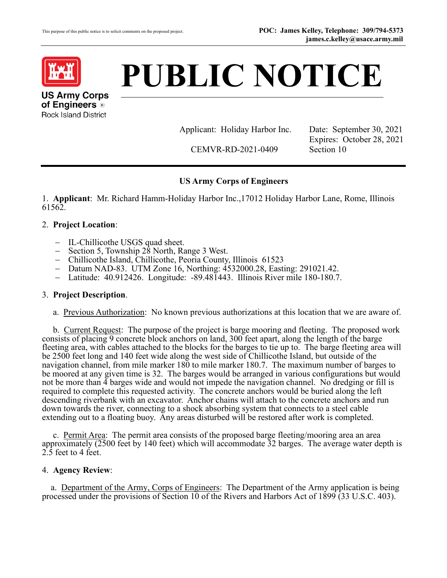

# **PUBLIC NOTICE**

**US Army Corps of Engineers** ® Rock Island District

Applicant: Holiday Harbor Inc. Date: September 30, 2021

CEMVR-RD-2021-0409 Section 10

Expires: October 28, 2021

# **US Army Corps of Engineers**

1. **Applicant**: Mr. Richard Hamm-Holiday Harbor Inc.,17012 Holiday Harbor Lane, Rome, Illinois 61562.

## 2. **Project Location**:

- 
- 
- 
- IL-Chillicothe USGS quad sheet.<br>
 Section 5, Township 28 North, Range 3 West.<br>
 Chillicothe Island, Chillicothe, Peoria County, Illinois 61523<br>
 Datum NAD-83. UTM Zone 16, Northing: [4532000.28](https://4532000.28), Easting: [291021.42.](https://291021.42)<br>
-
- 

#### 3. **Project Description**.

a. Previous Authorization: No known previous authorizations at this location that we are aware of.

b. Current Request: The purpose of the project is barge mooring and fleeting. The proposed work not be more than 4 barges wide and would not impede the navigation channel. No dredging or fill is consists of placing 9 concrete block anchors on land, 300 feet apart, along the length of the barge fleeting area, with cables attached to the blocks for the barges to tie up to. The barge fleeting area will be 2500 feet long and 140 feet wide along the west side of Chillicothe Island, but outside of the navigation channel, from mile marker 180 to mile marker 180.7. The maximum number of barges to be moored at any given time is 32. The barges would be arranged in various configurations but would required to complete this requested activity. The concrete anchors would be buried along the left descending riverbank with an excavator. Anchor chains will attach to the concrete anchors and run down towards the river, connecting to a shock absorbing system that connects to a steel cable extending out to a floating buoy. Any areas disturbed will be restored after work is completed.

c. Permit Area: The permit area consists of the proposed barge fleeting/mooring area an area approximately (2500 feet by 140 feet) which will accommodate 32 barges. The average water depth is 2.5 feet to 4 feet.

#### 4. **Agency Review**:

a. Department of the Army, Corps of Engineers: The Department of the Army application is being processed under the provisions of Section 10 of the Rivers and Harbors Act of 1899 (33 U.S.C. 403).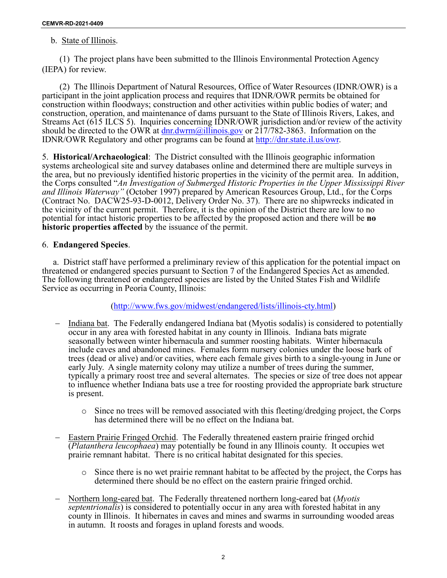## <span id="page-1-0"></span>b. State of Illinois.

(1) The project plans have been submitted to the Illinois Environmental Protection Agency (IEPA) for review.

should be directed to the OWR at **dnr.dwrm@illinois.gov** or 217/782-3863. Information on the (2) The Illinois Department of Natural Resources, Office of Water Resources (IDNR/OWR) is a participant in the joint application process and requires that IDNR/OWR permits be obtained for construction within floodways; construction and other activities within public bodies of water; and construction, operation, and maintenance of dams pursuant to the State of Illinois Rivers, Lakes, and Streams Act (615 ILCS 5). Inquiries concerning IDNR/OWR jurisdiction and/or review of the activity IDNR/OWR Regulatory and other programs can be found at [http://dnr.state.il.us/owr.](http://dnr.state.il.us/owr)

 5. **Historical/Archaeological**: The District consulted with the Illinois geographic information systems archeological site and survey databases online and determined there are multiple surveys in the area, but no previously identified historic properties in the vicinity of the permit area. In addition, the Corps consulted "*An Investigation of Submerged Historic Properties in the Upper Mississippi River and Illinois Waterway"* (October 1997) prepared by American Resources Group, Ltd., for the Corps (Contract No. DACW25-93-D-0012, Delivery Order No. 37). There are no shipwrecks indicated in the vicinity of the current permit. Therefore, it is the opinion of the District there are low to no potential for intact historic properties to be affected by the proposed action and there will be **no historic properties affected** by the issuance of the permit.

## 6. **Endangered Species**.

 The following threatened or endangered species are listed by the United States Fish and Wildlife Service as occurring in Peoria County, Illinois: a. District staff have performed a preliminary review of this application for the potential impact on threatened or endangered species pursuant to Section 7 of the Endangered Species Act as amended.

[\(http://www.fws.gov/midwest/endangered/lists/illinois-cty.html\)](http://www.fws.gov/midwest/endangered/lists/illinois-cty.html)

- occur in any area with forested habitat in any county in Illinois. Indiana bats migrate typically a primary roost tree and several alternates. The species or size of tree does not appear to influence whether Indiana bats use a tree for roosting provided the appropriate bark structure − Indiana bat. The Federally endangered Indiana bat (Myotis sodalis) is considered to potentially seasonally between winter hibernacula and summer roosting habitats. Winter hibernacula include caves and abandoned mines. Females form nursery colonies under the loose bark of trees (dead or alive) and/or cavities, where each female gives birth to a single-young in June or early July. A single maternity colony may utilize a number of trees during the summer, is present.
	- has determined there will be no effect on the Indiana bat. o Since no trees will be removed associated with this fleeting/dredging project, the Corps
- − Eastern Prairie Fringed Orchid. The Federally threatened eastern prairie fringed orchid (*Platanthera leucophaea*) may potentially be found in any Illinois county. It occupies wet prairie remnant habitat. There is no critical habitat designated for this species.
	- o Since there is no wet prairie remnant habitat to be affected by the project, the Corps has determined there should be no effect on the eastern prairie fringed orchid.
- − [Northern long-eared bat.](http://www.fws.gov/midwest/endangered/mammals/nlba/index.html) The Federally threatened northern long-eared bat (*Myotis*  in autumn. It roosts and forages in upland forests and woods. *septentrionalis*) is considered to potentially occur in any area with forested habitat in any county in Illinois. It hibernates in caves and mines and swarms in surrounding wooded areas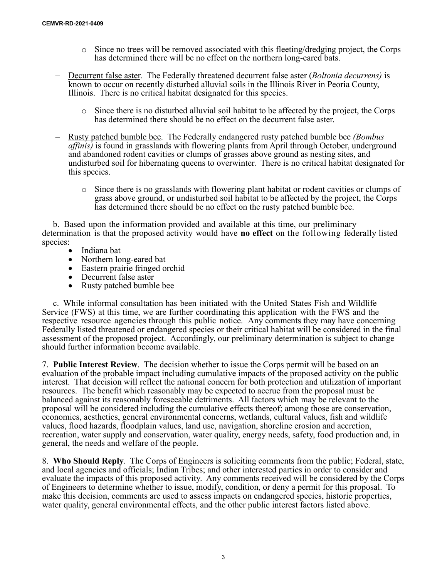- $\circ$  Since no trees will be removed associated with this fleeting/dredging project, the Corps has determined there will be no effect on the northern long-eared bats.
- − Decurrent false aster. The Federally threatened decurrent false aster (*Boltonia decurrens)* is Illinois. There is no critical habitat designated for this species. known to occur on recently disturbed alluvial soils in the Illinois River in Peoria County,
	- o Since there is no disturbed alluvial soil habitat to be affected by the project, the Corps has determined there should be no effect on the decurrent false aster.
- − Rusty patched bumble bee. The Federally endangered rusty patched bumble bee *(Bombus*  undisturbed soil for hibernating queens to overwinter. There is no critical habitat designated for this species. *affinis)* is found in grasslands with flowering plants from April through October, underground and abandoned rodent cavities or clumps of grasses above ground as nesting sites, and
	- o Since there is no grasslands with flowering plant habitat or rodent cavities or clumps of grass above ground, or undisturbed soil habitat to be affected by the project, the Corps has determined there should be no effect on the rusty patched bumble bee.

 determination is that the proposed activity would have **no effect** on the following federally listed species: b. Based upon the information provided and available at this time, our preliminary

- Indiana bat
- Northern long-eared bat
- Eastern prairie fringed orchid
- Decurrent false aster
- Rusty patched bumble bee

 Service (FWS) at this time, we are further coordinating this application with the FWS and the respective resource agencies through this public notice. Any comments they may have concerning c. While informal consultation has been initiated with the United States Fish and Wildlife Federally listed threatened or endangered species or their critical habitat will be considered in the final assessment of the proposed project. Accordingly, our preliminary determination is subject to change should further information become available.

 interest. That decision will reflect the national concern for both protection and utilization of important balanced against its reasonably foreseeable detriments. All factors which may be relevant to the 7. **Public Interest Review**. The decision whether to issue the Corps permit will be based on an evaluation of the probable impact including cumulative impacts of the proposed activity on the public resources. The benefit which reasonably may be expected to accrue from the proposal must be proposal will be considered including the cumulative effects thereof; among those are conservation, economics, aesthetics, general environmental concerns, wetlands, cultural values, fish and wildlife values, flood hazards, floodplain values, land use, navigation, shoreline erosion and accretion, recreation, water supply and conservation, water quality, energy needs, safety, food production and, in general, the needs and welfare of the people.

8. **Who Should Reply**. The Corps of Engineers is soliciting comments from the public; Federal, state, and local agencies and officials; Indian Tribes; and other interested parties in order to consider and evaluate the impacts of this proposed activity. Any comments received will be considered by the Corps of Engineers to determine whether to issue, modify, condition, or deny a permit for this proposal. To make this decision, comments are used to assess impacts on endangered species, historic properties, water quality, general environmental effects, and the other public interest factors listed above.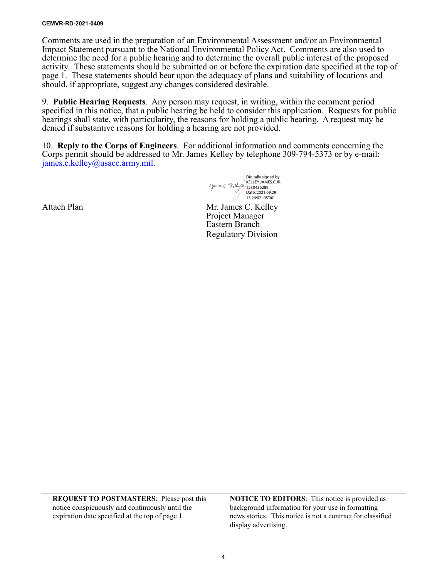determine the need for a public hearing and to determine the overall public interest of the proposed Comments are used in the preparation of an Environmental Assessment and/or an Environmental Impact Statement pursuant to the National Environmental Policy Act. Comments are also used to activity. These statements should be submitted on or before the expiration date specified at the top of page 1. These statements should bear upon the adequacy of plans and suitability of locations and should, if appropriate, suggest any changes considered desirable.

9. **Public Hearing Requests**. Any person may request, in writing, within the comment period specified in this notice, that a public hearing be held to consider this application. Requests for public hearings shall state, with particularity, the reasons for holding a public hearing. A request may be denied if substantive reasons for holding a hearing are not provided.

 Corps permit should be addressed to Mr. James Kelley by telephone 309-794-5373 or by e-mail: 10. **Reply to the Corps of Engineers**. For additional information and comments concerning the [james.c.kelley@usace.army.mil.](mailto:james.c.kelley@usace.army.mil)

> Mr. James C. Kelley Project Manager Eastern Branch Regulatory Division Digitally signed by KELLEY.JAMES.C.JR. 1230436289 Date: 2021.09.29 13:26:02 -05'00'

Attach Plan

notice conspicuously and continuously until the background information for your use in formatting

 **REQUEST TO POSTMASTERS**: Please post this **NOTICE TO EDITORS**: This notice is provided as expiration date specified at the top of page 1. news stories. This notice is not a contract for classified display advertising.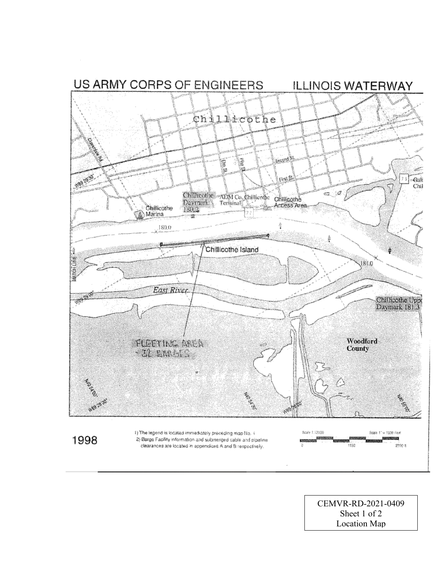

CEMVR-RD-2021-0409 Sheet 1 of 2 **Location Map**